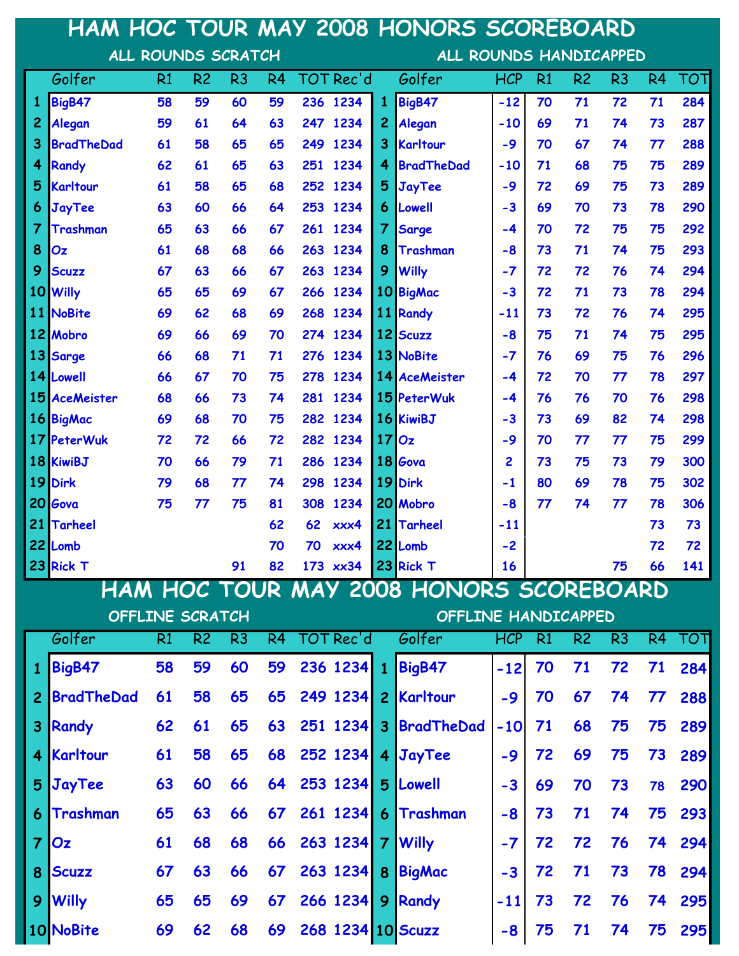|                 |                    |    |                        |                |                |           |      |                                         | HAM HOC TOUR MAY 2008 HONORS SCOREBOARD |            |    |                |                                                                                                                                                                            |                |     |  |  |  |
|-----------------|--------------------|----|------------------------|----------------|----------------|-----------|------|-----------------------------------------|-----------------------------------------|------------|----|----------------|----------------------------------------------------------------------------------------------------------------------------------------------------------------------------|----------------|-----|--|--|--|
|                 | ALL ROUNDS SCRATCH |    |                        |                |                |           |      |                                         | ALL ROUNDS HANDICAPPED                  |            |    |                |                                                                                                                                                                            |                |     |  |  |  |
|                 | Golfer             | R1 | R <sub>2</sub>         | R <sub>3</sub> | R <sub>4</sub> | TOT Rec'd |      |                                         | Golfer                                  | <b>HCP</b> | R1 | R <sub>2</sub> | R <sub>3</sub>                                                                                                                                                             | R <sub>4</sub> | τοτ |  |  |  |
| 1               | BigB47             | 58 | 59                     | 60             | 59             | 236 1234  |      | 1                                       | BigB47                                  | $-12$      | 70 | 71             | 72                                                                                                                                                                         | 71             | 284 |  |  |  |
| 2               | Alegan             | 59 | 61                     | 64             | 63             | 247       | 1234 | $\overline{c}$                          | Alegan                                  | $-10$      | 69 | 71             | 74                                                                                                                                                                         | 73             | 287 |  |  |  |
| 3               | <b>BradTheDad</b>  | 61 | 58                     | 65             | 65             | 249       | 1234 | 3                                       | Karltour                                | $-9$       | 70 | 67             | 74                                                                                                                                                                         | 77             | 288 |  |  |  |
| 4               | <b>Randy</b>       | 62 | 61                     | 65             | 63             | 251       | 1234 | 4                                       | <b>BradTheDad</b>                       | $-10$      | 71 | 68             | 75                                                                                                                                                                         | 75             | 289 |  |  |  |
| 5               | Karltour           | 61 | 58                     | 65             | 68             | 252       | 1234 | 5                                       | JayTee                                  | $-9$       | 72 | 69             | 75                                                                                                                                                                         | 73             | 289 |  |  |  |
| 6               | JayTee             | 63 | 60                     | 66             | 64             | 253       | 1234 | 6                                       | Lowell                                  | $-3$       | 69 | 70             | 73                                                                                                                                                                         | 78             | 290 |  |  |  |
| 7               | Trashman           | 65 | 63                     | 66             | 67             | 261       | 1234 | $\overline{7}$                          | <b>Sarge</b>                            | -4         | 70 | 72             | 75                                                                                                                                                                         | 75             | 292 |  |  |  |
| 8               | Oz                 | 61 | 68                     | 68             | 66             | 263       | 1234 | 8                                       | <b>Trashman</b>                         | $-8$       | 73 | 71             | 74                                                                                                                                                                         | 75             | 293 |  |  |  |
| 9               | <b>Scuzz</b>       | 67 | 63                     | 66             | 67             | 263 1234  |      | 9                                       | <b>Willy</b>                            | $-7$       | 72 | 72             | 76                                                                                                                                                                         | 74             | 294 |  |  |  |
| 10              | <b>Willy</b>       | 65 | 65                     | 69             | 67             | 266       | 1234 |                                         | 10 BigMac                               | $-3$       | 72 | 71             | 73                                                                                                                                                                         | 78             | 294 |  |  |  |
| 11 <sup>1</sup> | <b>NoBite</b>      | 69 | 62                     | 68             | 69             | 268       | 1234 |                                         | 11 Randy                                | $-11$      | 73 | 72             | 76                                                                                                                                                                         | 74             | 295 |  |  |  |
|                 | 12 Mobro           | 69 | 66                     | 69             | 70             | 274 1234  |      |                                         | 12 Scuzz                                | $-8$       | 75 | 71             | 74                                                                                                                                                                         | 75             | 295 |  |  |  |
|                 | 13 Sarge           | 66 | 68                     | 71             | 71             | 276       | 1234 |                                         | 13 NoBite                               | $-7$       | 76 | 69             | 75                                                                                                                                                                         | 76             | 296 |  |  |  |
|                 | 14 Lowell          | 66 | 67                     | 70             | 75             | 278       | 1234 |                                         | 14 AceMeister                           | -4         | 72 | 70             | 77                                                                                                                                                                         | 78             | 297 |  |  |  |
| 15              | <b>AceMeister</b>  | 68 | 66                     | 73             | 74             | 281       | 1234 |                                         | 15 PeterWuk                             | $-4$       | 76 | 76             | 70                                                                                                                                                                         | 76             | 298 |  |  |  |
|                 | 16 BigMac          | 69 | 68                     | 70             | 75             | 282       | 1234 |                                         | 16 KiwiBJ                               | $-3$       | 73 | 69             | 82                                                                                                                                                                         | 74             | 298 |  |  |  |
| 17 <sub>l</sub> | <b>PeterWuk</b>    | 72 | 72                     | 66             | 72             | 282       | 1234 | 17                                      | Oz                                      | -9         | 70 | 77             | 77                                                                                                                                                                         | 75             | 299 |  |  |  |
|                 | 18 KiwiBJ          | 70 | 66                     | 79             | 71             | 286       | 1234 |                                         | 18 Gova                                 | 2          | 73 | 75             | 73                                                                                                                                                                         | 79             | 300 |  |  |  |
| 19              | <b>Dirk</b>        | 79 | 68                     | 77             | 74             | 298       | 1234 |                                         | 19 Dirk                                 | -1         | 80 | 69             | 78                                                                                                                                                                         | 75             | 302 |  |  |  |
| 20              | Gova               | 75 | 77                     | 75             | 81             | 308       | 1234 |                                         | 20 Mobro                                | $-8$       | 77 | 74             | 77                                                                                                                                                                         | 78             | 306 |  |  |  |
| 21              | <b>Tarheel</b>     |    |                        |                | 62             | 62        | xxx4 | 21                                      | <b>Tarheel</b>                          | $-11$      |    |                |                                                                                                                                                                            | 73             | 73  |  |  |  |
|                 | 22 Lomb            |    |                        |                | 70             | 70        | xxx4 |                                         | 22 Lomb                                 | $-2$       |    |                |                                                                                                                                                                            | 72             | 72  |  |  |  |
|                 | 23 Rick T          |    |                        | 91             | 82             |           |      |                                         | 173 xx34 23 Rick T                      | 16         |    |                | 75                                                                                                                                                                         | 66             | 141 |  |  |  |
|                 |                    |    |                        |                |                |           |      | HAM HOC TOUR MAY 2008 HONORS SCOREBOARD |                                         |            |    |                |                                                                                                                                                                            |                |     |  |  |  |
|                 |                    |    | <b>OFFLINE SCRATCH</b> |                |                |           |      |                                         | <b>OFFLINE HANDICAPPED</b>              |            |    |                | R <sub>2</sub><br>R <sub>3</sub><br>ΤΟΤ<br>R4<br>71<br>72<br>71<br>284<br>67<br>74<br>288<br>77<br>68<br>75<br>75<br>289<br>69<br>75<br>73<br>289<br>290<br>70<br>73<br>78 |                |     |  |  |  |
|                 | Golfer             | R1 | R <sub>2</sub>         | R <sub>3</sub> | R4             | TOT Rec'd |      |                                         | Golfer                                  | <b>HCP</b> | R1 |                |                                                                                                                                                                            |                |     |  |  |  |
| 1               | BigB47             | 58 | 59                     | 60             | 59             | 236 1234  |      | $\mathbf{1}$                            | <b>BigB47</b>                           | $-12$      | 70 |                |                                                                                                                                                                            |                |     |  |  |  |
| $\overline{c}$  | <b>BradTheDad</b>  | 61 | 58                     | 65             | 65             | 249 1234  |      | $\overline{2}$                          | Karltour                                | $-9$       | 70 |                |                                                                                                                                                                            |                |     |  |  |  |
| 3               | Randy              | 62 | 61                     | 65             | 63             | 251 1234  |      | 3 <sup>5</sup>                          | <b>BradTheDad</b>                       | $-10$      | 71 |                |                                                                                                                                                                            |                |     |  |  |  |
| 4               | Karltour           | 61 | 58                     | 65             | 68             | 252 1234  |      | 4                                       | <b>JayTee</b>                           | $-9$       | 72 |                |                                                                                                                                                                            |                |     |  |  |  |
| 5               | <b>JayTee</b>      | 63 | 60                     | 66             | 64             | 253 1234  |      | 5                                       | Lowell                                  | $-3$       | 69 |                |                                                                                                                                                                            |                |     |  |  |  |
| 6               | Trashman           | 65 | 63                     | 66             | 67             | 261 1234  |      | $6 \overline{6}$                        | Trashman                                | $-8$       | 73 | 71             | 74                                                                                                                                                                         | 75             | 293 |  |  |  |
| $\overline{7}$  | Oz                 | 61 | 68                     | 68             | 66             | 263 1234  |      | $\overline{7}$                          | <b>Willy</b>                            | $-7$       | 72 | 72             | 76                                                                                                                                                                         | 74             | 294 |  |  |  |
| 8               | <b>Scuzz</b>       | 67 | 63                     | 66             | 67             | 263 1234  |      | 8                                       | <b>BigMac</b>                           | $-3$       | 72 | 71             | 73                                                                                                                                                                         | 78             | 294 |  |  |  |
| 9               | <b>Willy</b>       | 65 | 65                     | 69             | 67             | 266 1234  |      | 9                                       | Randy                                   | $-11$      | 73 | 72             | 76                                                                                                                                                                         | 74             | 295 |  |  |  |
|                 | 10 NoBite          | 69 | 62                     | 68             | 69             |           |      |                                         | 268 1234 10 Scuzz                       | -8         | 75 | 71             | 74                                                                                                                                                                         | 75             | 295 |  |  |  |